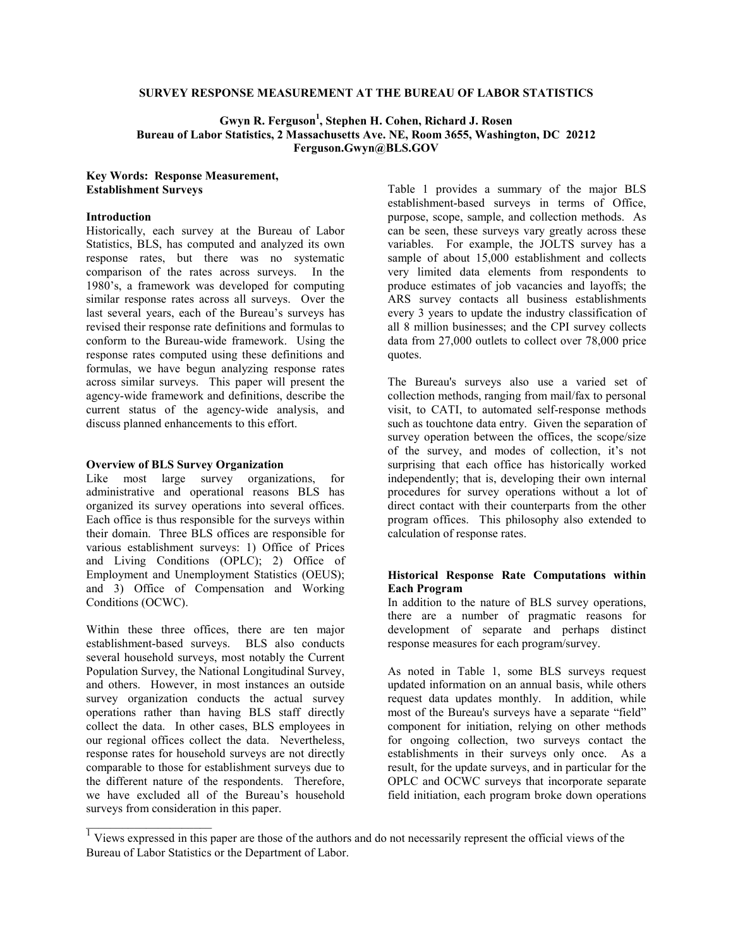## **SURVEY RESPONSE MEASUREMENT AT THE BUREAU OF LABOR STATISTICS**

## Gwyn R. Ferguson<sup>1</sup>, Stephen H. Cohen, Richard J. Rosen **Bureau of Labor Statistics, 2 Massachusetts Ave. NE, Room 3655, Washington, DC 20212 Ferguson.Gwyn@BLS.GOV**

## **Key Words: Response Measurement, Establishment Surveys**

## **Introduction**

Historically, each survey at the Bureau of Labor Statistics, BLS, has computed and analyzed its own response rates, but there was no systematic comparison of the rates across surveys. In the 1980's, a framework was developed for computing similar response rates across all surveys. Over the last several years, each of the Bureau's surveys has revised their response rate definitions and formulas to conform to the Bureau-wide framework. Using the response rates computed using these definitions and formulas, we have begun analyzing response rates across similar surveys. This paper will present the agency-wide framework and definitions, describe the current status of the agency-wide analysis, and discuss planned enhancements to this effort.

#### **Overview of BLS Survey Organization**

Like most large survey organizations, for administrative and operational reasons BLS has organized its survey operations into several offices. Each office is thus responsible for the surveys within their domain. Three BLS offices are responsible for various establishment surveys: 1) Office of Prices and Living Conditions (OPLC); 2) Office of Employment and Unemployment Statistics (OEUS); and 3) Office of Compensation and Working Conditions (OCWC).

Within these three offices, there are ten major establishment-based surveys. BLS also conducts several household surveys, most notably the Current Population Survey, the National Longitudinal Survey, and others. However, in most instances an outside survey organization conducts the actual survey operations rather than having BLS staff directly collect the data. In other cases, BLS employees in our regional offices collect the data. Nevertheless, response rates for household surveys are not directly comparable to those for establishment surveys due to the different nature of the respondents. Therefore, we have excluded all of the Bureau's household surveys from consideration in this paper.

Table 1 provides a summary of the major BLS establishment-based surveys in terms of Office, purpose, scope, sample, and collection methods. As can be seen, these surveys vary greatly across these variables. For example, the JOLTS survey has a sample of about 15,000 establishment and collects very limited data elements from respondents to produce estimates of job vacancies and layoffs; the ARS survey contacts all business establishments every 3 years to update the industry classification of all 8 million businesses; and the CPI survey collects data from 27,000 outlets to collect over 78,000 price quotes.

The Bureau's surveys also use a varied set of collection methods, ranging from mail/fax to personal visit, to CATI, to automated self-response methods such as touchtone data entry. Given the separation of survey operation between the offices, the scope/size of the survey, and modes of collection, it's not surprising that each office has historically worked independently; that is, developing their own internal procedures for survey operations without a lot of direct contact with their counterparts from the other program offices. This philosophy also extended to calculation of response rates.

## **Historical Response Rate Computations within Each Program**

In addition to the nature of BLS survey operations, there are a number of pragmatic reasons for development of separate and perhaps distinct response measures for each program/survey.

As noted in Table 1, some BLS surveys request updated information on an annual basis, while others request data updates monthly. In addition, while most of the Bureau's surveys have a separate "field" component for initiation, relying on other methods for ongoing collection, two surveys contact the establishments in their surveys only once. As a result, for the update surveys, and in particular for the OPLC and OCWC surveys that incorporate separate field initiation, each program broke down operations

 $\frac{1}{1}$  Views expressed in this paper are those of the authors and do not necessarily represent the official views of the Bureau of Labor Statistics or the Department of Labor.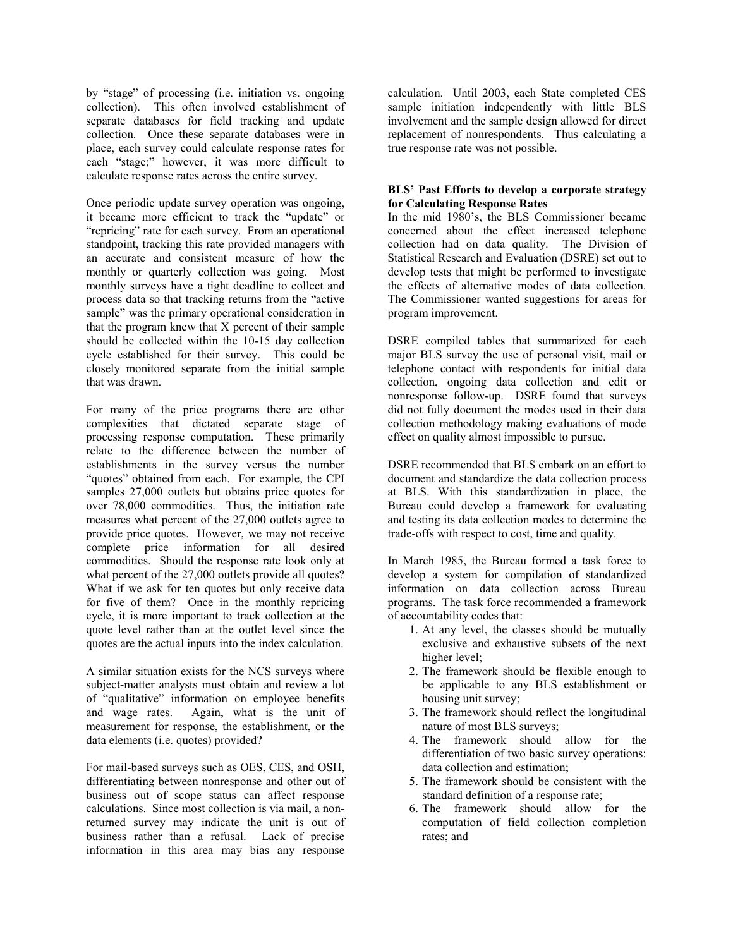by "stage" of processing (i.e. initiation vs. ongoing collection). This often involved establishment of separate databases for field tracking and update collection. Once these separate databases were in place, each survey could calculate response rates for each "stage;" however, it was more difficult to calculate response rates across the entire survey.

Once periodic update survey operation was ongoing, it became more efficient to track the "update" or "repricing" rate for each survey. From an operational standpoint, tracking this rate provided managers with an accurate and consistent measure of how the monthly or quarterly collection was going. Most monthly surveys have a tight deadline to collect and process data so that tracking returns from the "active sample" was the primary operational consideration in that the program knew that X percent of their sample should be collected within the 10-15 day collection cycle established for their survey. This could be closely monitored separate from the initial sample that was drawn.

For many of the price programs there are other complexities that dictated separate stage of processing response computation. These primarily relate to the difference between the number of establishments in the survey versus the number "quotes" obtained from each. For example, the CPI samples 27,000 outlets but obtains price quotes for over 78,000 commodities. Thus, the initiation rate measures what percent of the 27,000 outlets agree to provide price quotes. However, we may not receive complete price information for all desired commodities. Should the response rate look only at what percent of the 27,000 outlets provide all quotes? What if we ask for ten quotes but only receive data for five of them? Once in the monthly repricing cycle, it is more important to track collection at the quote level rather than at the outlet level since the quotes are the actual inputs into the index calculation.

A similar situation exists for the NCS surveys where subject-matter analysts must obtain and review a lot of "qualitative" information on employee benefits and wage rates. Again, what is the unit of measurement for response, the establishment, or the data elements (i.e. quotes) provided?

For mail-based surveys such as OES, CES, and OSH, differentiating between nonresponse and other out of business out of scope status can affect response calculations. Since most collection is via mail, a nonreturned survey may indicate the unit is out of business rather than a refusal. Lack of precise information in this area may bias any response

calculation. Until 2003, each State completed CES sample initiation independently with little BLS involvement and the sample design allowed for direct replacement of nonrespondents. Thus calculating a true response rate was not possible.

## **BLS' Past Efforts to develop a corporate strategy for Calculating Response Rates**

In the mid 1980's, the BLS Commissioner became concerned about the effect increased telephone collection had on data quality. The Division of Statistical Research and Evaluation (DSRE) set out to develop tests that might be performed to investigate the effects of alternative modes of data collection. The Commissioner wanted suggestions for areas for program improvement.

DSRE compiled tables that summarized for each major BLS survey the use of personal visit, mail or telephone contact with respondents for initial data collection, ongoing data collection and edit or nonresponse follow-up. DSRE found that surveys did not fully document the modes used in their data collection methodology making evaluations of mode effect on quality almost impossible to pursue.

DSRE recommended that BLS embark on an effort to document and standardize the data collection process at BLS. With this standardization in place, the Bureau could develop a framework for evaluating and testing its data collection modes to determine the trade-offs with respect to cost, time and quality.

In March 1985, the Bureau formed a task force to develop a system for compilation of standardized information on data collection across Bureau programs. The task force recommended a framework of accountability codes that:

- 1. At any level, the classes should be mutually exclusive and exhaustive subsets of the next higher level;
- 2. The framework should be flexible enough to be applicable to any BLS establishment or housing unit survey;
- 3. The framework should reflect the longitudinal nature of most BLS surveys;
- 4. The framework should allow for the differentiation of two basic survey operations: data collection and estimation;
- 5. The framework should be consistent with the standard definition of a response rate;
- 6. The framework should allow for the computation of field collection completion rates; and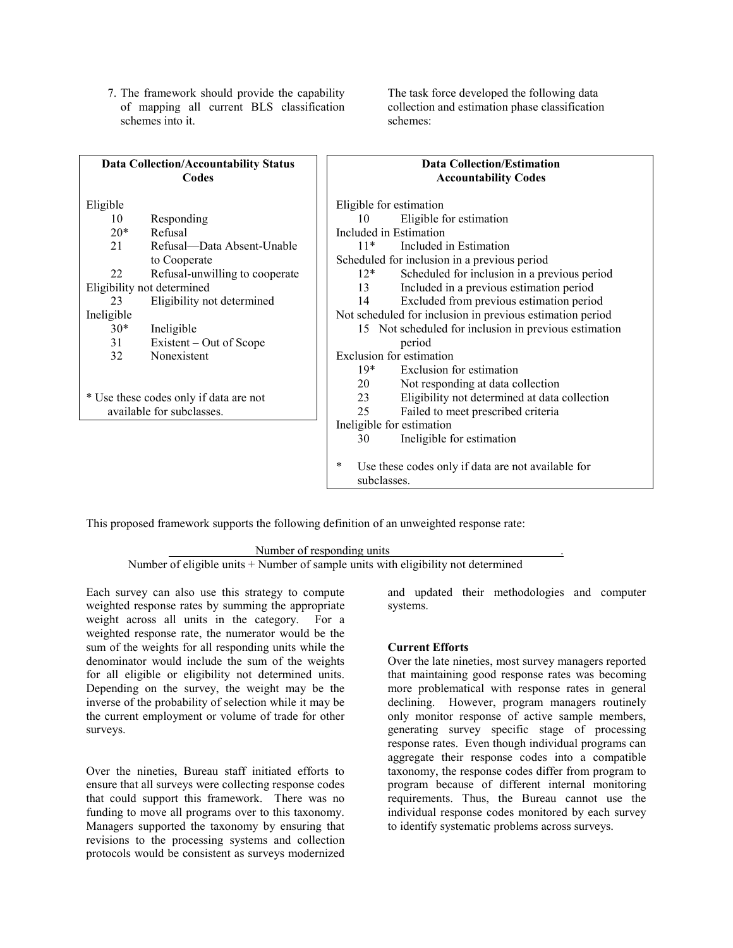7. The framework should provide the capability of mapping all current BLS classification schemes into it.

The task force developed the following data collection and estimation phase classification schemes:

| <b>Data Collection/Accountability Status</b><br>Codes |                                | <b>Data Collection/Estimation</b><br><b>Accountability Codes</b> |                                                    |  |  |
|-------------------------------------------------------|--------------------------------|------------------------------------------------------------------|----------------------------------------------------|--|--|
| Eligible                                              |                                |                                                                  | Eligible for estimation                            |  |  |
| 10                                                    | Responding                     | 10                                                               | Eligible for estimation                            |  |  |
| $20*$                                                 | Refusal                        |                                                                  | Included in Estimation                             |  |  |
| 21                                                    | Refusal—Data Absent-Unable     | $11*$                                                            | Included in Estimation                             |  |  |
|                                                       | to Cooperate                   |                                                                  | Scheduled for inclusion in a previous period       |  |  |
| 22                                                    | Refusal-unwilling to cooperate | $12*$                                                            | Scheduled for inclusion in a previous period       |  |  |
| Eligibility not determined                            |                                | 13                                                               | Included in a previous estimation period           |  |  |
| 23                                                    | Eligibility not determined     | 14                                                               | Excluded from previous estimation period           |  |  |
| Ineligible                                            |                                | Not scheduled for inclusion in previous estimation period        |                                                    |  |  |
| $30*$                                                 | Ineligible                     | 15 Not scheduled for inclusion in previous estimation            |                                                    |  |  |
| 31                                                    | Existent – Out of Scope        |                                                                  | period                                             |  |  |
| 32                                                    | Nonexistent                    | Exclusion for estimation                                         |                                                    |  |  |
|                                                       |                                | $19*$                                                            | Exclusion for estimation                           |  |  |
|                                                       |                                | 20                                                               | Not responding at data collection                  |  |  |
| * Use these codes only if data are not                |                                | 23                                                               | Eligibility not determined at data collection      |  |  |
|                                                       | available for subclasses.      | 25                                                               | Failed to meet prescribed criteria                 |  |  |
|                                                       |                                |                                                                  | Ineligible for estimation                          |  |  |
|                                                       |                                | 30                                                               | Ineligible for estimation                          |  |  |
|                                                       |                                | *<br>subclasses.                                                 | Use these codes only if data are not available for |  |  |

This proposed framework supports the following definition of an unweighted response rate:

Number of responding units .

Number of eligible units + Number of sample units with eligibility not determined

Each survey can also use this strategy to compute weighted response rates by summing the appropriate weight across all units in the category. For a weighted response rate, the numerator would be the sum of the weights for all responding units while the denominator would include the sum of the weights for all eligible or eligibility not determined units. Depending on the survey, the weight may be the inverse of the probability of selection while it may be the current employment or volume of trade for other surveys.

Over the nineties, Bureau staff initiated efforts to ensure that all surveys were collecting response codes that could support this framework. There was no funding to move all programs over to this taxonomy. Managers supported the taxonomy by ensuring that revisions to the processing systems and collection protocols would be consistent as surveys modernized

and updated their methodologies and computer systems.

#### **Current Efforts**

Over the late nineties, most survey managers reported that maintaining good response rates was becoming more problematical with response rates in general declining. However, program managers routinely only monitor response of active sample members, generating survey specific stage of processing response rates. Even though individual programs can aggregate their response codes into a compatible taxonomy, the response codes differ from program to program because of different internal monitoring requirements. Thus, the Bureau cannot use the individual response codes monitored by each survey to identify systematic problems across surveys.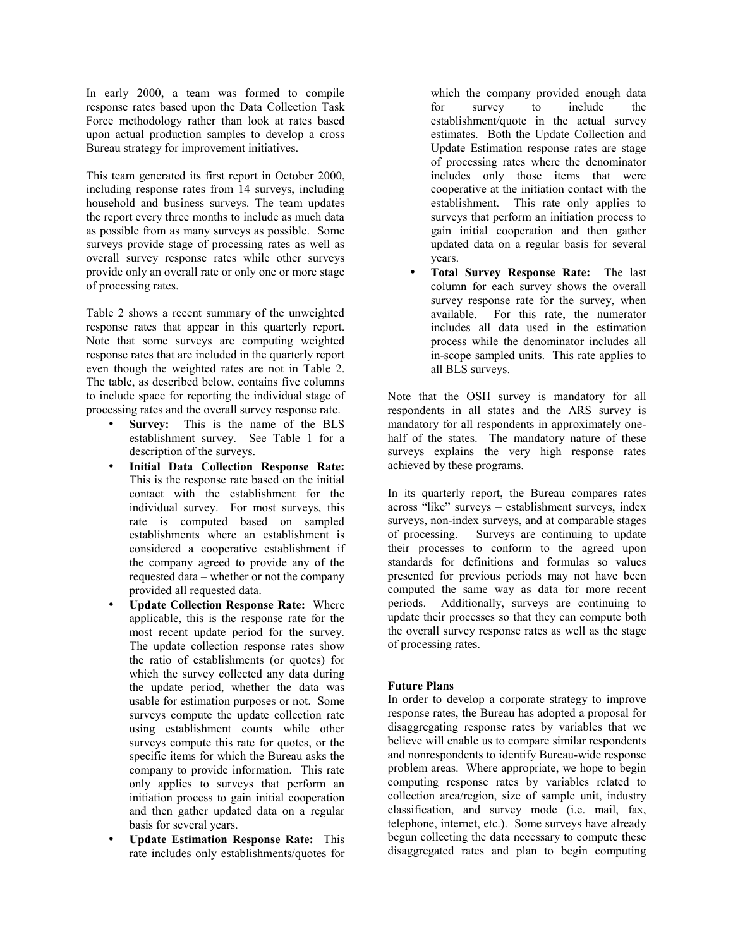In early 2000, a team was formed to compile response rates based upon the Data Collection Task Force methodology rather than look at rates based upon actual production samples to develop a cross Bureau strategy for improvement initiatives.

This team generated its first report in October 2000, including response rates from 14 surveys, including household and business surveys. The team updates the report every three months to include as much data as possible from as many surveys as possible. Some surveys provide stage of processing rates as well as overall survey response rates while other surveys provide only an overall rate or only one or more stage of processing rates.

Table 2 shows a recent summary of the unweighted response rates that appear in this quarterly report. Note that some surveys are computing weighted response rates that are included in the quarterly report even though the weighted rates are not in Table 2. The table, as described below, contains five columns to include space for reporting the individual stage of processing rates and the overall survey response rate.

- **Survey:** This is the name of the BLS establishment survey. See Table 1 for a description of the surveys.
- **Initial Data Collection Response Rate:**  This is the response rate based on the initial contact with the establishment for the individual survey. For most surveys, this rate is computed based on sampled establishments where an establishment is considered a cooperative establishment if the company agreed to provide any of the requested data – whether or not the company provided all requested data.
- **Update Collection Response Rate:** Where applicable, this is the response rate for the most recent update period for the survey. The update collection response rates show the ratio of establishments (or quotes) for which the survey collected any data during the update period, whether the data was usable for estimation purposes or not. Some surveys compute the update collection rate using establishment counts while other surveys compute this rate for quotes, or the specific items for which the Bureau asks the company to provide information. This rate only applies to surveys that perform an initiation process to gain initial cooperation and then gather updated data on a regular basis for several years.
- **Update Estimation Response Rate:** This rate includes only establishments/quotes for

which the company provided enough data for survey to include the establishment/quote in the actual survey estimates. Both the Update Collection and Update Estimation response rates are stage of processing rates where the denominator includes only those items that were cooperative at the initiation contact with the establishment. This rate only applies to surveys that perform an initiation process to gain initial cooperation and then gather updated data on a regular basis for several years.

• **Total Survey Response Rate:** The last column for each survey shows the overall survey response rate for the survey, when available. For this rate, the numerator includes all data used in the estimation process while the denominator includes all in-scope sampled units. This rate applies to all BLS surveys.

Note that the OSH survey is mandatory for all respondents in all states and the ARS survey is mandatory for all respondents in approximately onehalf of the states. The mandatory nature of these surveys explains the very high response rates achieved by these programs.

In its quarterly report, the Bureau compares rates across "like" surveys – establishment surveys, index surveys, non-index surveys, and at comparable stages of processing. Surveys are continuing to update their processes to conform to the agreed upon standards for definitions and formulas so values presented for previous periods may not have been computed the same way as data for more recent periods. Additionally, surveys are continuing to update their processes so that they can compute both the overall survey response rates as well as the stage of processing rates.

## **Future Plans**

In order to develop a corporate strategy to improve response rates, the Bureau has adopted a proposal for disaggregating response rates by variables that we believe will enable us to compare similar respondents and nonrespondents to identify Bureau-wide response problem areas. Where appropriate, we hope to begin computing response rates by variables related to collection area/region, size of sample unit, industry classification, and survey mode (i.e. mail, fax, telephone, internet, etc.). Some surveys have already begun collecting the data necessary to compute these disaggregated rates and plan to begin computing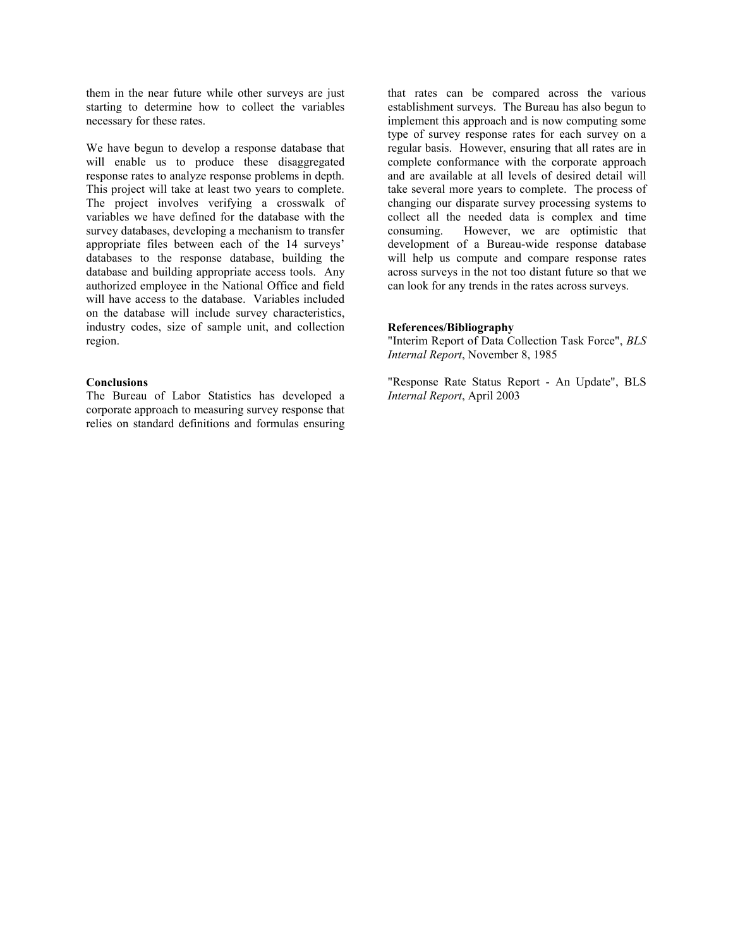them in the near future while other surveys are just starting to determine how to collect the variables necessary for these rates.

We have begun to develop a response database that will enable us to produce these disaggregated response rates to analyze response problems in depth. This project will take at least two years to complete. The project involves verifying a crosswalk of variables we have defined for the database with the survey databases, developing a mechanism to transfer appropriate files between each of the 14 surveys' databases to the response database, building the database and building appropriate access tools. Any authorized employee in the National Office and field will have access to the database. Variables included on the database will include survey characteristics, industry codes, size of sample unit, and collection region.

#### **Conclusions**

The Bureau of Labor Statistics has developed a corporate approach to measuring survey response that relies on standard definitions and formulas ensuring

that rates can be compared across the various establishment surveys. The Bureau has also begun to implement this approach and is now computing some type of survey response rates for each survey on a regular basis. However, ensuring that all rates are in complete conformance with the corporate approach and are available at all levels of desired detail will take several more years to complete. The process of changing our disparate survey processing systems to collect all the needed data is complex and time consuming. However, we are optimistic that development of a Bureau-wide response database will help us compute and compare response rates across surveys in the not too distant future so that we can look for any trends in the rates across surveys.

#### **References/Bibliography**

"Interim Report of Data Collection Task Force", *BLS Internal Report*, November 8, 1985

"Response Rate Status Report - An Update", BLS *Internal Report*, April 2003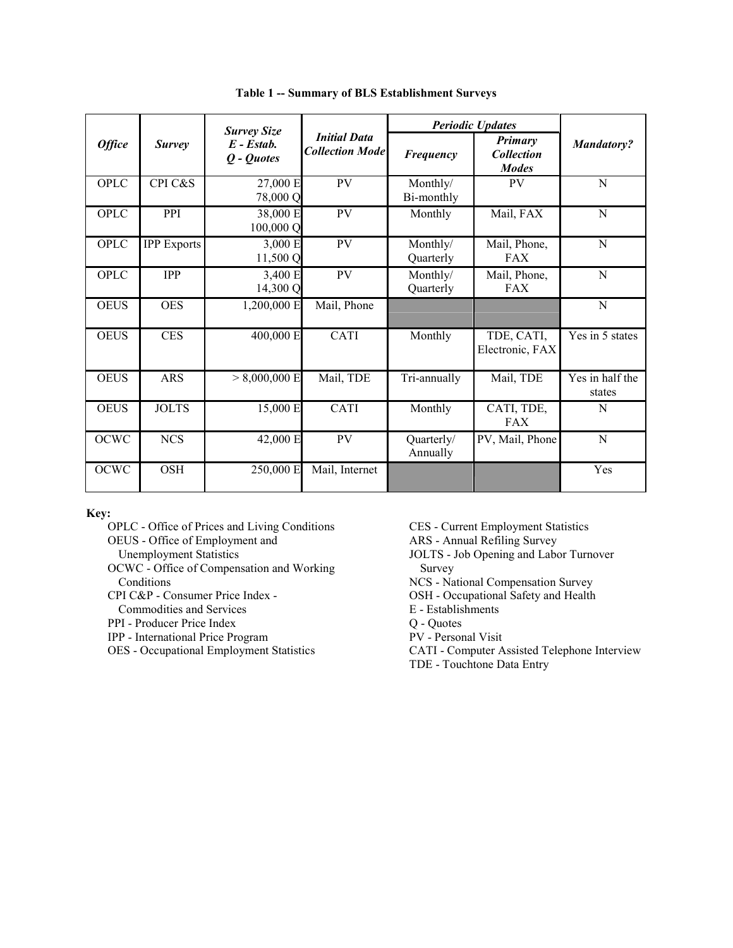|               | <b>Survey</b>      | <b>Survey Size</b><br>$E$ - $Estab$ .<br>Q - Quotes | <b>Initial Data</b><br><b>Collection Mode</b> | <b>Periodic Updates</b> |                                              |                           |
|---------------|--------------------|-----------------------------------------------------|-----------------------------------------------|-------------------------|----------------------------------------------|---------------------------|
| <b>Office</b> |                    |                                                     |                                               | Frequency               | Primary<br><b>Collection</b><br><b>Modes</b> | <b>Mandatory?</b>         |
| <b>OPLC</b>   | CPI C&S            | 27,000 E<br>78,000 Q                                | PV                                            | Monthly/<br>Bi-monthly  | PV                                           | N                         |
| OPLC          | PPI                | 38,000 E<br>100,000 Q                               | PV                                            | Monthly                 | Mail, FAX                                    | N                         |
| OPLC          | <b>IPP</b> Exports | 3,000 E<br>11,500 Q                                 | PV                                            | Monthly/<br>Quarterly   | Mail, Phone,<br><b>FAX</b>                   | N                         |
| <b>OPLC</b>   | <b>IPP</b>         | 3,400 E<br>14,300 Q                                 | PV                                            | Monthly/<br>Quarterly   | Mail, Phone,<br><b>FAX</b>                   | $\mathbf N$               |
| <b>OEUS</b>   | <b>OES</b>         | 1,200,000 E                                         | Mail, Phone                                   |                         |                                              | N                         |
| <b>OEUS</b>   | <b>CES</b>         | 400,000 E                                           | CATI                                          | Monthly                 | TDE, CATI,<br>Electronic, FAX                | Yes in 5 states           |
| <b>OEUS</b>   | <b>ARS</b>         | $> 8,000,000$ E                                     | Mail, TDE                                     | Tri-annually            | Mail, TDE                                    | Yes in half the<br>states |
| <b>OEUS</b>   | <b>JOLTS</b>       | 15,000 E                                            | CATI                                          | Monthly                 | CATI, TDE,<br><b>FAX</b>                     | N                         |
| <b>OCWC</b>   | <b>NCS</b>         | 42,000 E                                            | PV                                            | Quarterly/<br>Annually  | PV, Mail, Phone                              | $\mathbf N$               |
| <b>OCWC</b>   | <b>OSH</b>         | 250,000 E                                           | Mail, Internet                                |                         |                                              | Yes                       |

**Table 1 -- Summary of BLS Establishment Surveys** 

**Key:** 

OPLC - Office of Prices and Living Conditions OEUS - Office of Employment and Unemployment Statistics OCWC - Office of Compensation and Working Conditions CPI C&P - Consumer Price Index -

- Commodities and Services
- PPI Producer Price Index
- IPP International Price Program

OES - Occupational Employment Statistics

CES - Current Employment Statistics

ARS - Annual Refiling Survey

JOLTS - Job Opening and Labor Turnover Survey

NCS - National Compensation Survey

- OSH Occupational Safety and Health
- E Establishments
- Q Quotes

PV - Personal Visit

CATI - Computer Assisted Telephone Interview TDE - Touchtone Data Entry